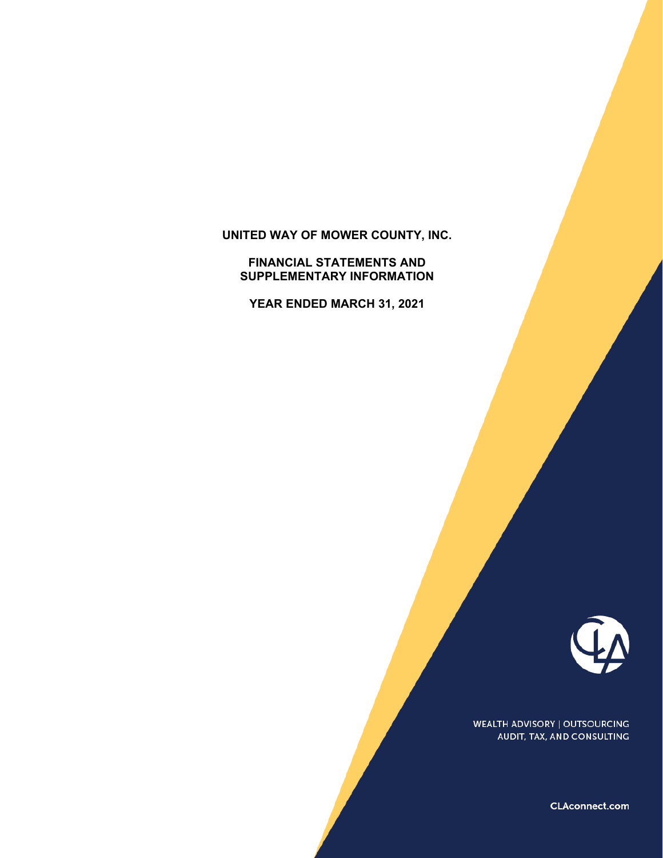# **UNITED WAY OF MOWER COUNTY, INC.**

#### **FINANCIAL STATEMENTS AND SUPPLEMENTARY INFORMATION**

**YEAR ENDED MARCH 31, 2021** 



WEALTH ADVISORY | OUTSOURCING AUDIT, TAX, AND CONSULTING

CLAconnect.com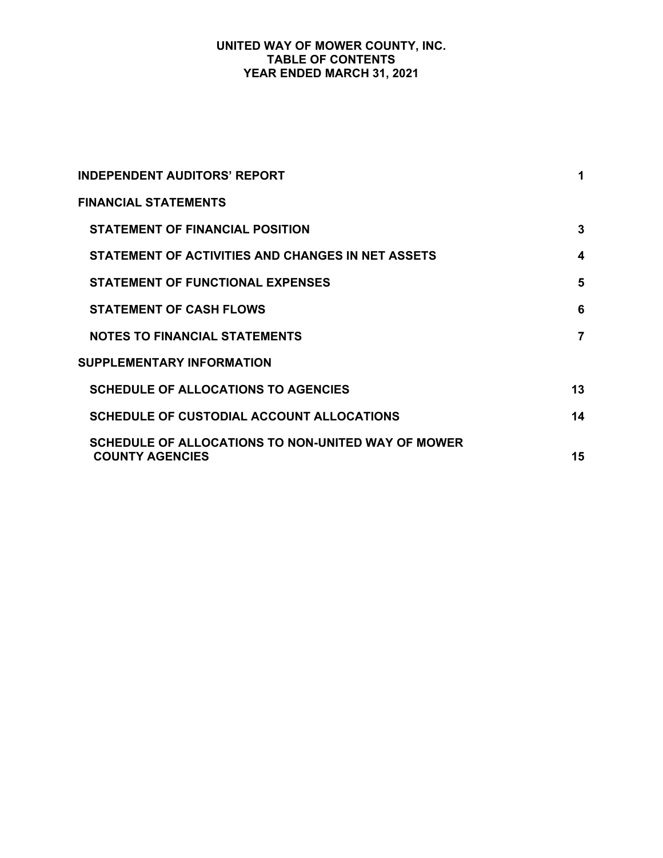## **UNITED WAY OF MOWER COUNTY, INC. TABLE OF CONTENTS YEAR ENDED MARCH 31, 2021**

| <b>INDEPENDENT AUDITORS' REPORT</b>                                          | 1  |
|------------------------------------------------------------------------------|----|
| <b>FINANCIAL STATEMENTS</b>                                                  |    |
| <b>STATEMENT OF FINANCIAL POSITION</b>                                       | 3  |
| STATEMENT OF ACTIVITIES AND CHANGES IN NET ASSETS                            | 4  |
| <b>STATEMENT OF FUNCTIONAL EXPENSES</b>                                      | 5  |
| <b>STATEMENT OF CASH FLOWS</b>                                               | 6  |
| <b>NOTES TO FINANCIAL STATEMENTS</b>                                         | 7  |
| <b>SUPPLEMENTARY INFORMATION</b>                                             |    |
| <b>SCHEDULE OF ALLOCATIONS TO AGENCIES</b>                                   | 13 |
| <b>SCHEDULE OF CUSTODIAL ACCOUNT ALLOCATIONS</b>                             | 14 |
| SCHEDULE OF ALLOCATIONS TO NON-UNITED WAY OF MOWER<br><b>COUNTY AGENCIES</b> | 15 |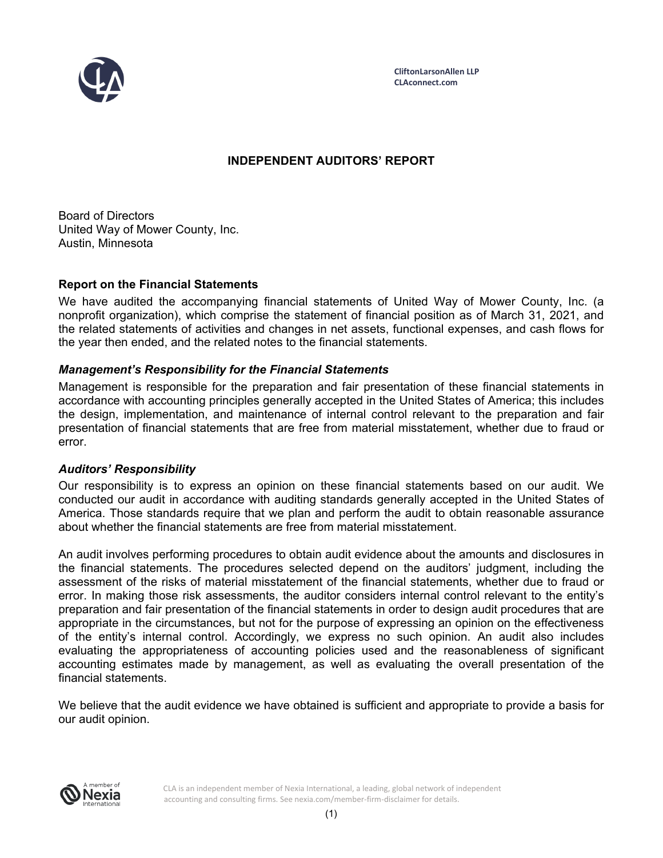

**CliftonLarsonAllen LLP CLAconnect.com**

## **INDEPENDENT AUDITORS' REPORT**

Board of Directors United Way of Mower County, Inc. Austin, Minnesota

### **Report on the Financial Statements**

We have audited the accompanying financial statements of United Way of Mower County, Inc. (a nonprofit organization), which comprise the statement of financial position as of March 31, 2021, and the related statements of activities and changes in net assets, functional expenses, and cash flows for the year then ended, and the related notes to the financial statements.

## *Management's Responsibility for the Financial Statements*

Management is responsible for the preparation and fair presentation of these financial statements in accordance with accounting principles generally accepted in the United States of America; this includes the design, implementation, and maintenance of internal control relevant to the preparation and fair presentation of financial statements that are free from material misstatement, whether due to fraud or error.

#### *Auditors' Responsibility*

Our responsibility is to express an opinion on these financial statements based on our audit. We conducted our audit in accordance with auditing standards generally accepted in the United States of America. Those standards require that we plan and perform the audit to obtain reasonable assurance about whether the financial statements are free from material misstatement.

An audit involves performing procedures to obtain audit evidence about the amounts and disclosures in the financial statements. The procedures selected depend on the auditors' judgment, including the assessment of the risks of material misstatement of the financial statements, whether due to fraud or error. In making those risk assessments, the auditor considers internal control relevant to the entity's preparation and fair presentation of the financial statements in order to design audit procedures that are appropriate in the circumstances, but not for the purpose of expressing an opinion on the effectiveness of the entity's internal control. Accordingly, we express no such opinion. An audit also includes evaluating the appropriateness of accounting policies used and the reasonableness of significant accounting estimates made by management, as well as evaluating the overall presentation of the financial statements.

We believe that the audit evidence we have obtained is sufficient and appropriate to provide a basis for our audit opinion.



CLA is an independent member of Nexia International, a leading, global network of independent accounting and consulting firms. See nexia.com/member-firm-disclaimer for details.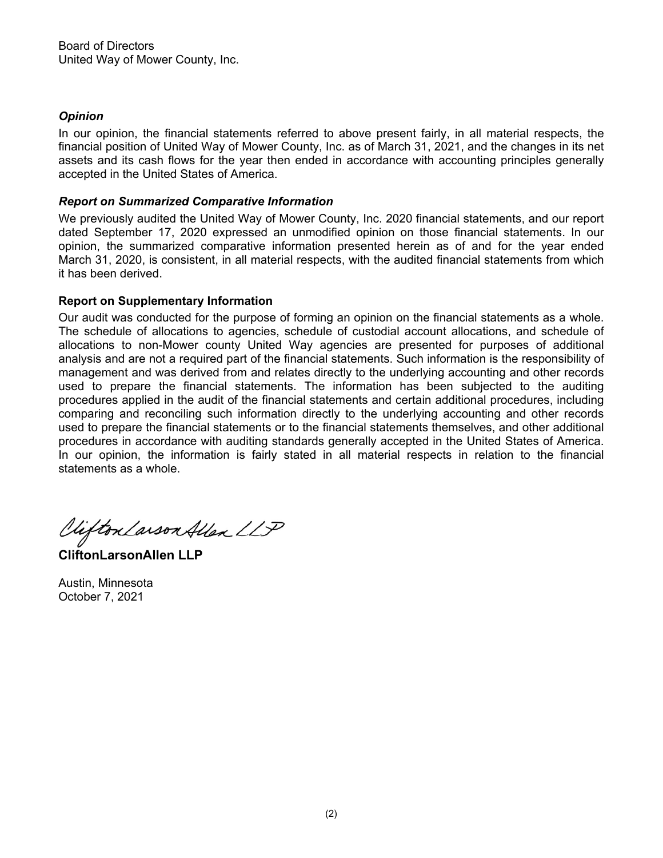## *Opinion*

In our opinion, the financial statements referred to above present fairly, in all material respects, the financial position of United Way of Mower County, Inc. as of March 31, 2021, and the changes in its net assets and its cash flows for the year then ended in accordance with accounting principles generally accepted in the United States of America.

## *Report on Summarized Comparative Information*

We previously audited the United Way of Mower County, Inc. 2020 financial statements, and our report dated September 17, 2020 expressed an unmodified opinion on those financial statements. In our opinion, the summarized comparative information presented herein as of and for the year ended March 31, 2020, is consistent, in all material respects, with the audited financial statements from which it has been derived.

## **Report on Supplementary Information**

Our audit was conducted for the purpose of forming an opinion on the financial statements as a whole. The schedule of allocations to agencies, schedule of custodial account allocations, and schedule of allocations to non-Mower county United Way agencies are presented for purposes of additional analysis and are not a required part of the financial statements. Such information is the responsibility of management and was derived from and relates directly to the underlying accounting and other records used to prepare the financial statements. The information has been subjected to the auditing procedures applied in the audit of the financial statements and certain additional procedures, including comparing and reconciling such information directly to the underlying accounting and other records used to prepare the financial statements or to the financial statements themselves, and other additional procedures in accordance with auditing standards generally accepted in the United States of America. In our opinion, the information is fairly stated in all material respects in relation to the financial statements as a whole.

Clifton Larson Allen LLP

**CliftonLarsonAllen LLP** 

Austin, Minnesota October 7, 2021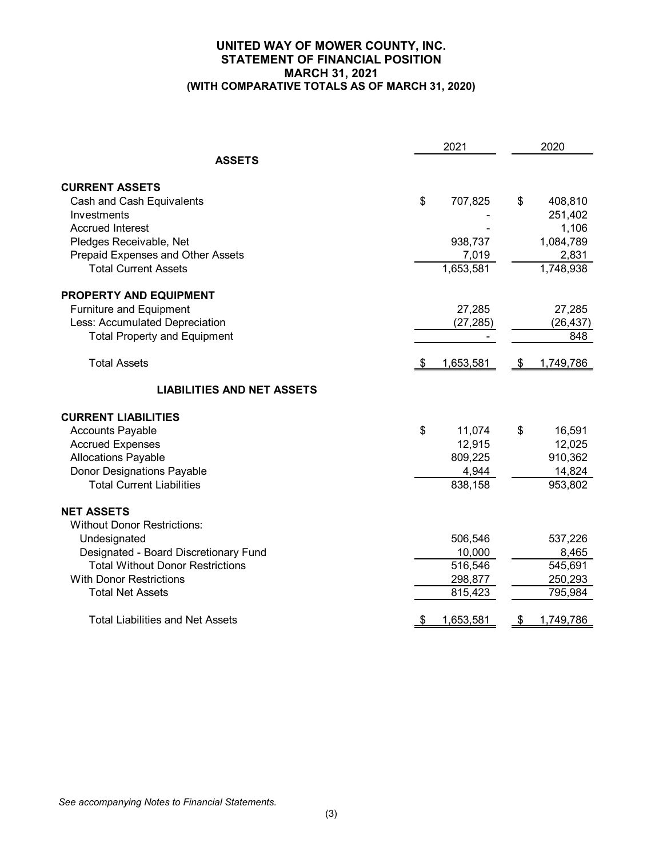|                                         |     | 2021      |               | 2020      |
|-----------------------------------------|-----|-----------|---------------|-----------|
| <b>ASSETS</b>                           |     |           |               |           |
| <b>CURRENT ASSETS</b>                   |     |           |               |           |
| Cash and Cash Equivalents               | \$  | 707,825   | \$            | 408,810   |
| Investments                             |     |           |               | 251,402   |
| <b>Accrued Interest</b>                 |     |           |               | 1,106     |
| Pledges Receivable, Net                 |     | 938,737   |               | 1,084,789 |
| Prepaid Expenses and Other Assets       |     | 7,019     |               | 2,831     |
| <b>Total Current Assets</b>             |     | 1,653,581 |               | 1,748,938 |
| PROPERTY AND EQUIPMENT                  |     |           |               |           |
| <b>Furniture and Equipment</b>          |     | 27,285    |               | 27,285    |
| Less: Accumulated Depreciation          |     | (27, 285) |               | (26, 437) |
| <b>Total Property and Equipment</b>     |     |           |               | 848       |
| <b>Total Assets</b>                     | \$. | 1,653,581 | $\frac{1}{2}$ | 1,749,786 |
| <b>LIABILITIES AND NET ASSETS</b>       |     |           |               |           |
| <b>CURRENT LIABILITIES</b>              |     |           |               |           |
| <b>Accounts Payable</b>                 | \$  | 11,074    | \$            | 16,591    |
| <b>Accrued Expenses</b>                 |     | 12,915    |               | 12,025    |
| <b>Allocations Payable</b>              |     | 809,225   |               | 910,362   |
| <b>Donor Designations Payable</b>       |     | 4,944     |               | 14,824    |
| <b>Total Current Liabilities</b>        |     | 838,158   |               | 953,802   |
| <b>NET ASSETS</b>                       |     |           |               |           |
| <b>Without Donor Restrictions:</b>      |     |           |               |           |
| Undesignated                            |     | 506,546   |               | 537,226   |
| Designated - Board Discretionary Fund   |     | 10,000    |               | 8,465     |
| <b>Total Without Donor Restrictions</b> |     | 516,546   |               | 545,691   |
| <b>With Donor Restrictions</b>          |     | 298,877   |               | 250,293   |
| <b>Total Net Assets</b>                 |     | 815,423   |               | 795,984   |
| <b>Total Liabilities and Net Assets</b> | \$  | 1,653,581 | \$            | 1,749,786 |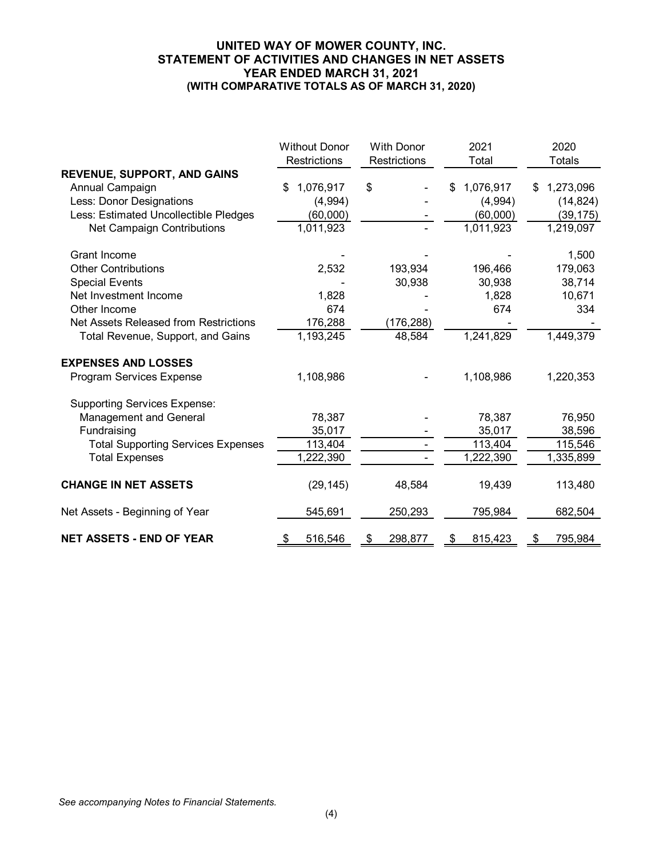### **UNITED WAY OF MOWER COUNTY, INC. STATEMENT OF ACTIVITIES AND CHANGES IN NET ASSETS YEAR ENDED MARCH 31, 2021 (WITH COMPARATIVE TOTALS AS OF MARCH 31, 2020)**

|                                           | <b>Without Donor</b> | <b>With Donor</b><br>2021 |                 | 2020            |  |
|-------------------------------------------|----------------------|---------------------------|-----------------|-----------------|--|
|                                           | Restrictions         | Total<br>Restrictions     |                 | <b>Totals</b>   |  |
| REVENUE, SUPPORT, AND GAINS               |                      |                           |                 |                 |  |
| Annual Campaign                           | 1,076,917<br>\$      | \$                        | 1,076,917<br>\$ | 1,273,096<br>\$ |  |
| Less: Donor Designations                  | (4,994)              |                           | (4,994)         | (14, 824)       |  |
| Less: Estimated Uncollectible Pledges     | (60,000)             |                           | (60,000)        | (39, 175)       |  |
| Net Campaign Contributions                | 1,011,923            |                           | 1,011,923       | 1,219,097       |  |
| Grant Income                              |                      |                           |                 | 1,500           |  |
| <b>Other Contributions</b>                | 2,532                | 193,934                   | 196,466         | 179,063         |  |
| <b>Special Events</b>                     |                      | 30,938                    | 30,938          | 38,714          |  |
| Net Investment Income                     | 1,828                |                           | 1,828           | 10,671          |  |
| Other Income                              | 674                  |                           | 674             | 334             |  |
| Net Assets Released from Restrictions     | 176,288              | (176, 288)                |                 |                 |  |
| Total Revenue, Support, and Gains         | 1,193,245            | 48,584                    | 1,241,829       | 1,449,379       |  |
| <b>EXPENSES AND LOSSES</b>                |                      |                           |                 |                 |  |
| Program Services Expense                  | 1,108,986            |                           | 1,108,986       | 1,220,353       |  |
| <b>Supporting Services Expense:</b>       |                      |                           |                 |                 |  |
| Management and General                    | 78,387               |                           | 78,387          | 76,950          |  |
| Fundraising                               | 35,017               |                           | 35,017          | 38,596          |  |
| <b>Total Supporting Services Expenses</b> | 113,404              |                           | 113,404         | 115,546         |  |
| <b>Total Expenses</b>                     | 1,222,390            |                           | 1,222,390       | 1,335,899       |  |
| <b>CHANGE IN NET ASSETS</b>               | (29, 145)            | 48,584                    | 19,439          | 113,480         |  |
| Net Assets - Beginning of Year            | 545,691              | 250,293                   | 795,984         | 682,504         |  |
| <b>NET ASSETS - END OF YEAR</b>           | 516,546<br>S         | 298,877<br>\$             | 815,423<br>\$   | 795,984<br>\$   |  |

*See accompanying Notes to Financial Statements.*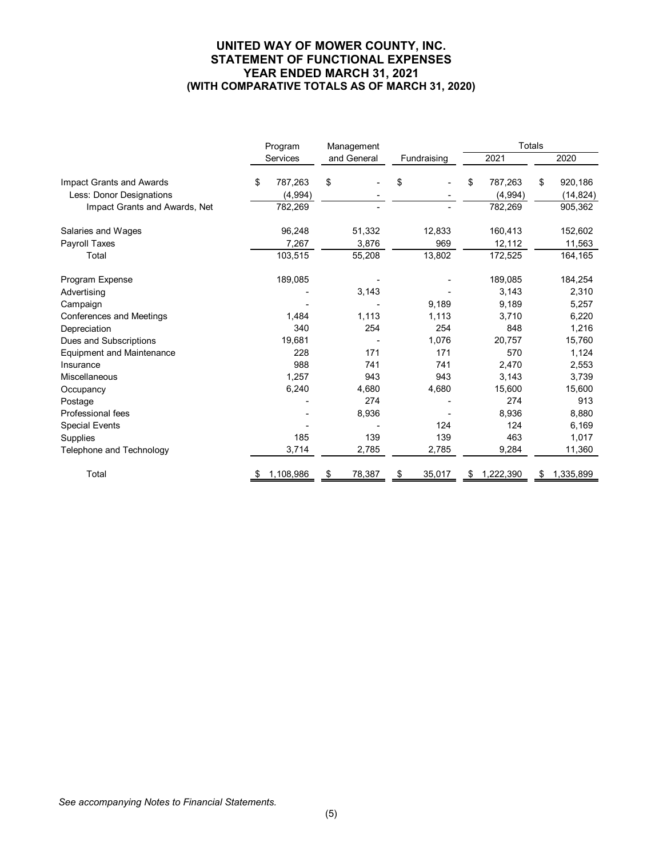#### **UNITED WAY OF MOWER COUNTY, INC. STATEMENT OF FUNCTIONAL EXPENSES YEAR ENDED MARCH 31, 2021 (WITH COMPARATIVE TOTALS AS OF MARCH 31, 2020)**

|                                                             | Program                  | Management      |               | <b>Totals</b>            |    |                      |
|-------------------------------------------------------------|--------------------------|-----------------|---------------|--------------------------|----|----------------------|
|                                                             | Services                 | and General     | Fundraising   | 2021                     |    | 2020                 |
| <b>Impact Grants and Awards</b><br>Less: Donor Designations | \$<br>787,263<br>(4,994) | \$              | \$            | \$<br>787,263<br>(4,994) | \$ | 920,186<br>(14, 824) |
| Impact Grants and Awards, Net                               | 782,269                  |                 |               | 782,269                  |    | 905,362              |
| Salaries and Wages<br>Payroll Taxes                         | 96,248<br>7,267          | 51,332<br>3,876 | 12,833<br>969 | 160,413<br>12,112        |    | 152,602<br>11,563    |
| Total                                                       | 103,515                  | 55,208          | 13,802        | 172,525                  |    | 164,165              |
| Program Expense                                             | 189,085                  |                 |               | 189,085                  |    | 184,254              |
| Advertising                                                 |                          | 3,143           |               | 3,143                    |    | 2,310                |
| Campaign                                                    |                          |                 | 9,189         | 9,189                    |    | 5,257                |
| <b>Conferences and Meetings</b>                             | 1,484                    | 1,113           | 1,113         | 3,710                    |    | 6,220                |
| Depreciation                                                | 340                      | 254             | 254           | 848                      |    | 1,216                |
| Dues and Subscriptions                                      | 19,681                   |                 | 1,076         | 20,757                   |    | 15,760               |
| <b>Equipment and Maintenance</b>                            | 228                      | 171             | 171           | 570                      |    | 1,124                |
| Insurance                                                   | 988                      | 741             | 741           | 2,470                    |    | 2,553                |
| Miscellaneous                                               | 1,257                    | 943             | 943           | 3,143                    |    | 3,739                |
| Occupancy                                                   | 6,240                    | 4,680           | 4,680         | 15,600                   |    | 15,600               |
| Postage                                                     |                          | 274             |               | 274                      |    | 913                  |
| Professional fees                                           |                          | 8,936           |               | 8,936                    |    | 8,880                |
| <b>Special Events</b>                                       |                          |                 | 124           | 124                      |    | 6,169                |
| <b>Supplies</b>                                             | 185                      | 139             | 139           | 463                      |    | 1,017                |
| Telephone and Technology                                    | 3,714                    | 2,785           | 2,785         | 9,284                    |    | 11,360               |
| Total                                                       | 1,108,986                | \$<br>78,387    | \$<br>35,017  | \$<br>1,222,390          |    | 1,335,899            |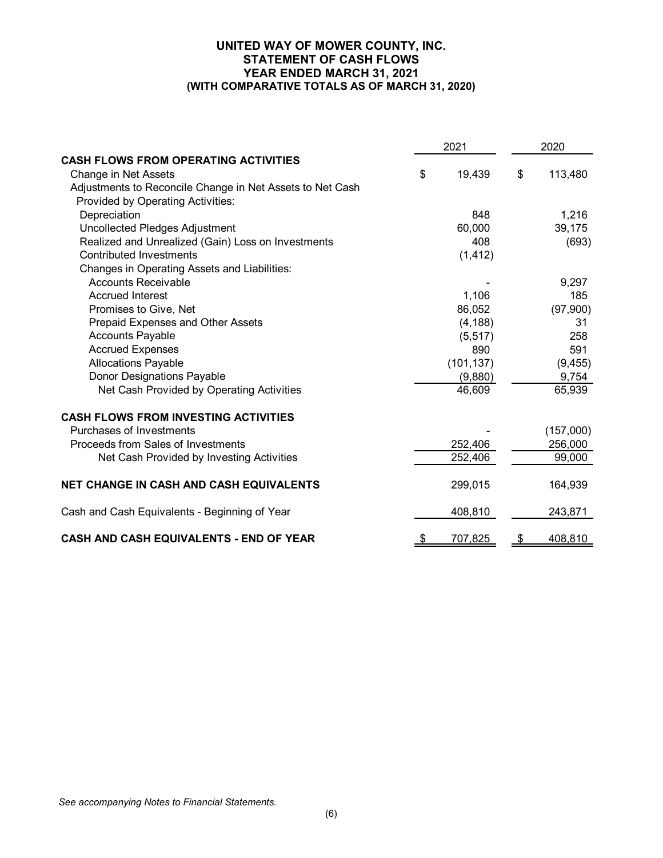#### **UNITED WAY OF MOWER COUNTY, INC. STATEMENT OF CASH FLOWS YEAR ENDED MARCH 31, 2021 (WITH COMPARATIVE TOTALS AS OF MARCH 31, 2020)**

|                                                           | 2021          |    | 2020      |
|-----------------------------------------------------------|---------------|----|-----------|
| <b>CASH FLOWS FROM OPERATING ACTIVITIES</b>               |               |    |           |
| Change in Net Assets                                      | \$<br>19,439  | \$ | 113,480   |
| Adjustments to Reconcile Change in Net Assets to Net Cash |               |    |           |
| Provided by Operating Activities:                         |               |    |           |
| Depreciation                                              | 848           |    | 1,216     |
| Uncollected Pledges Adjustment                            | 60,000        |    | 39,175    |
| Realized and Unrealized (Gain) Loss on Investments        | 408           |    | (693)     |
| <b>Contributed Investments</b>                            | (1, 412)      |    |           |
| Changes in Operating Assets and Liabilities:              |               |    |           |
| <b>Accounts Receivable</b>                                |               |    | 9,297     |
| <b>Accrued Interest</b>                                   | 1,106         |    | 185       |
| Promises to Give, Net                                     | 86,052        |    | (97,900)  |
| Prepaid Expenses and Other Assets                         | (4, 188)      |    | 31        |
| <b>Accounts Payable</b>                                   | (5, 517)      |    | 258       |
| <b>Accrued Expenses</b>                                   | 890           |    | 591       |
| <b>Allocations Payable</b>                                | (101, 137)    |    | (9, 455)  |
| Donor Designations Payable                                | (9,880)       |    | 9,754     |
| Net Cash Provided by Operating Activities                 | 46,609        |    | 65,939    |
| <b>CASH FLOWS FROM INVESTING ACTIVITIES</b>               |               |    |           |
| Purchases of Investments                                  |               |    | (157,000) |
| Proceeds from Sales of Investments                        | 252,406       |    | 256,000   |
| Net Cash Provided by Investing Activities                 | 252,406       |    | 99,000    |
|                                                           |               |    |           |
| NET CHANGE IN CASH AND CASH EQUIVALENTS                   | 299,015       |    | 164,939   |
| Cash and Cash Equivalents - Beginning of Year             | 408,810       |    | 243,871   |
| <b>CASH AND CASH EQUIVALENTS - END OF YEAR</b>            | \$<br>707,825 | \$ | 408,810   |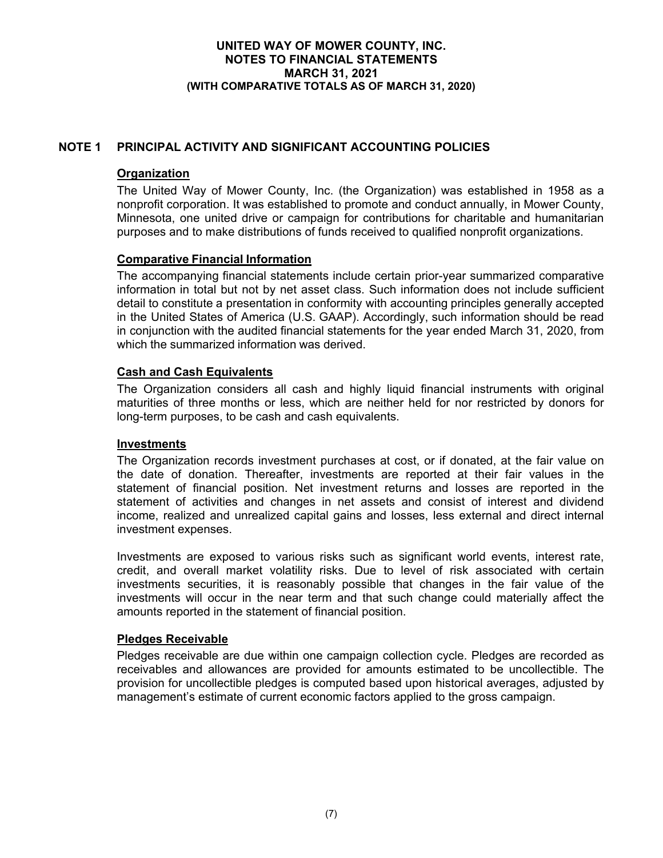# **NOTE 1 PRINCIPAL ACTIVITY AND SIGNIFICANT ACCOUNTING POLICIES**

### **Organization**

The United Way of Mower County, Inc. (the Organization) was established in 1958 as a nonprofit corporation. It was established to promote and conduct annually, in Mower County, Minnesota, one united drive or campaign for contributions for charitable and humanitarian purposes and to make distributions of funds received to qualified nonprofit organizations.

## **Comparative Financial Information**

The accompanying financial statements include certain prior-year summarized comparative information in total but not by net asset class. Such information does not include sufficient detail to constitute a presentation in conformity with accounting principles generally accepted in the United States of America (U.S. GAAP). Accordingly, such information should be read in conjunction with the audited financial statements for the year ended March 31, 2020, from which the summarized information was derived.

## **Cash and Cash Equivalents**

The Organization considers all cash and highly liquid financial instruments with original maturities of three months or less, which are neither held for nor restricted by donors for long-term purposes, to be cash and cash equivalents.

#### **Investments**

The Organization records investment purchases at cost, or if donated, at the fair value on the date of donation. Thereafter, investments are reported at their fair values in the statement of financial position. Net investment returns and losses are reported in the statement of activities and changes in net assets and consist of interest and dividend income, realized and unrealized capital gains and losses, less external and direct internal investment expenses.

Investments are exposed to various risks such as significant world events, interest rate, credit, and overall market volatility risks. Due to level of risk associated with certain investments securities, it is reasonably possible that changes in the fair value of the investments will occur in the near term and that such change could materially affect the amounts reported in the statement of financial position.

## **Pledges Receivable**

Pledges receivable are due within one campaign collection cycle. Pledges are recorded as receivables and allowances are provided for amounts estimated to be uncollectible. The provision for uncollectible pledges is computed based upon historical averages, adjusted by management's estimate of current economic factors applied to the gross campaign.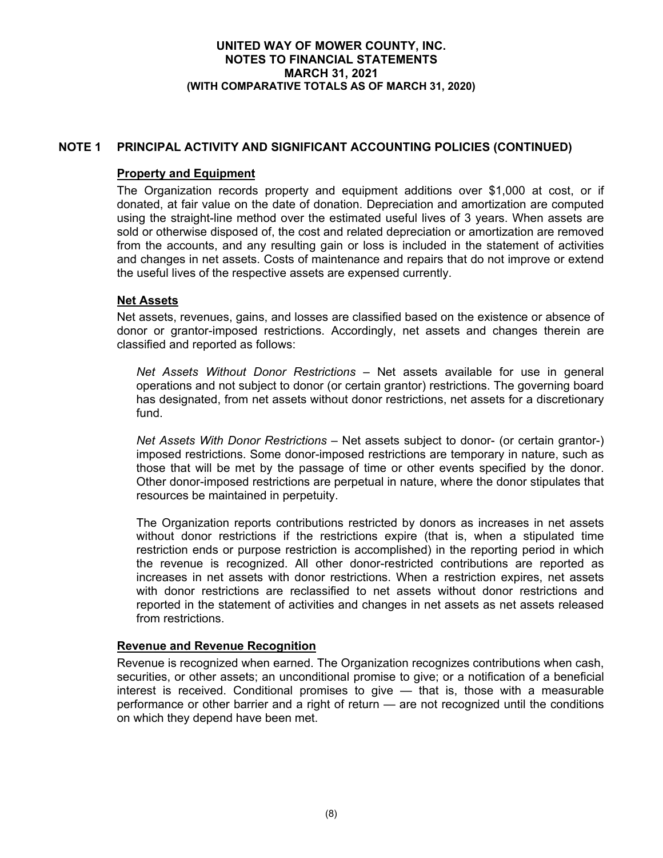# **NOTE 1 PRINCIPAL ACTIVITY AND SIGNIFICANT ACCOUNTING POLICIES (CONTINUED)**

### **Property and Equipment**

The Organization records property and equipment additions over \$1,000 at cost, or if donated, at fair value on the date of donation. Depreciation and amortization are computed using the straight-line method over the estimated useful lives of 3 years. When assets are sold or otherwise disposed of, the cost and related depreciation or amortization are removed from the accounts, and any resulting gain or loss is included in the statement of activities and changes in net assets. Costs of maintenance and repairs that do not improve or extend the useful lives of the respective assets are expensed currently.

## **Net Assets**

Net assets, revenues, gains, and losses are classified based on the existence or absence of donor or grantor-imposed restrictions. Accordingly, net assets and changes therein are classified and reported as follows:

*Net Assets Without Donor Restrictions* – Net assets available for use in general operations and not subject to donor (or certain grantor) restrictions. The governing board has designated, from net assets without donor restrictions, net assets for a discretionary fund.

*Net Assets With Donor Restrictions* – Net assets subject to donor- (or certain grantor-) imposed restrictions. Some donor-imposed restrictions are temporary in nature, such as those that will be met by the passage of time or other events specified by the donor. Other donor-imposed restrictions are perpetual in nature, where the donor stipulates that resources be maintained in perpetuity.

The Organization reports contributions restricted by donors as increases in net assets without donor restrictions if the restrictions expire (that is, when a stipulated time restriction ends or purpose restriction is accomplished) in the reporting period in which the revenue is recognized. All other donor-restricted contributions are reported as increases in net assets with donor restrictions. When a restriction expires, net assets with donor restrictions are reclassified to net assets without donor restrictions and reported in the statement of activities and changes in net assets as net assets released from restrictions.

## **Revenue and Revenue Recognition**

Revenue is recognized when earned. The Organization recognizes contributions when cash, securities, or other assets; an unconditional promise to give; or a notification of a beneficial interest is received. Conditional promises to give — that is, those with a measurable performance or other barrier and a right of return — are not recognized until the conditions on which they depend have been met.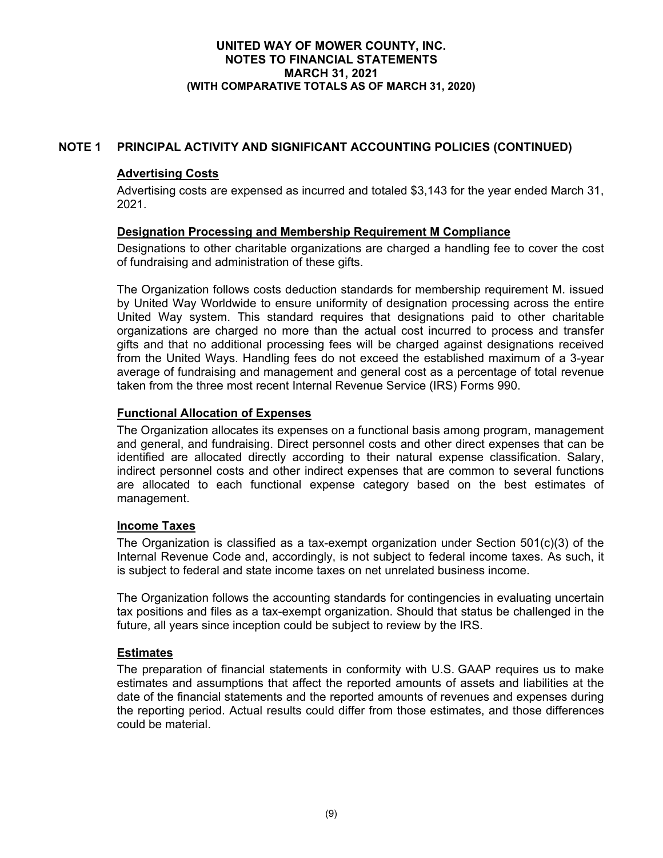# **NOTE 1 PRINCIPAL ACTIVITY AND SIGNIFICANT ACCOUNTING POLICIES (CONTINUED)**

# **Advertising Costs**

Advertising costs are expensed as incurred and totaled \$3,143 for the year ended March 31, 2021.

## **Designation Processing and Membership Requirement M Compliance**

Designations to other charitable organizations are charged a handling fee to cover the cost of fundraising and administration of these gifts.

The Organization follows costs deduction standards for membership requirement M. issued by United Way Worldwide to ensure uniformity of designation processing across the entire United Way system. This standard requires that designations paid to other charitable organizations are charged no more than the actual cost incurred to process and transfer gifts and that no additional processing fees will be charged against designations received from the United Ways. Handling fees do not exceed the established maximum of a 3-year average of fundraising and management and general cost as a percentage of total revenue taken from the three most recent Internal Revenue Service (IRS) Forms 990.

## **Functional Allocation of Expenses**

The Organization allocates its expenses on a functional basis among program, management and general, and fundraising. Direct personnel costs and other direct expenses that can be identified are allocated directly according to their natural expense classification. Salary, indirect personnel costs and other indirect expenses that are common to several functions are allocated to each functional expense category based on the best estimates of management.

## **Income Taxes**

The Organization is classified as a tax-exempt organization under Section  $501(c)(3)$  of the Internal Revenue Code and, accordingly, is not subject to federal income taxes. As such, it is subject to federal and state income taxes on net unrelated business income.

The Organization follows the accounting standards for contingencies in evaluating uncertain tax positions and files as a tax-exempt organization. Should that status be challenged in the future, all years since inception could be subject to review by the IRS.

## **Estimates**

The preparation of financial statements in conformity with U.S. GAAP requires us to make estimates and assumptions that affect the reported amounts of assets and liabilities at the date of the financial statements and the reported amounts of revenues and expenses during the reporting period. Actual results could differ from those estimates, and those differences could be material.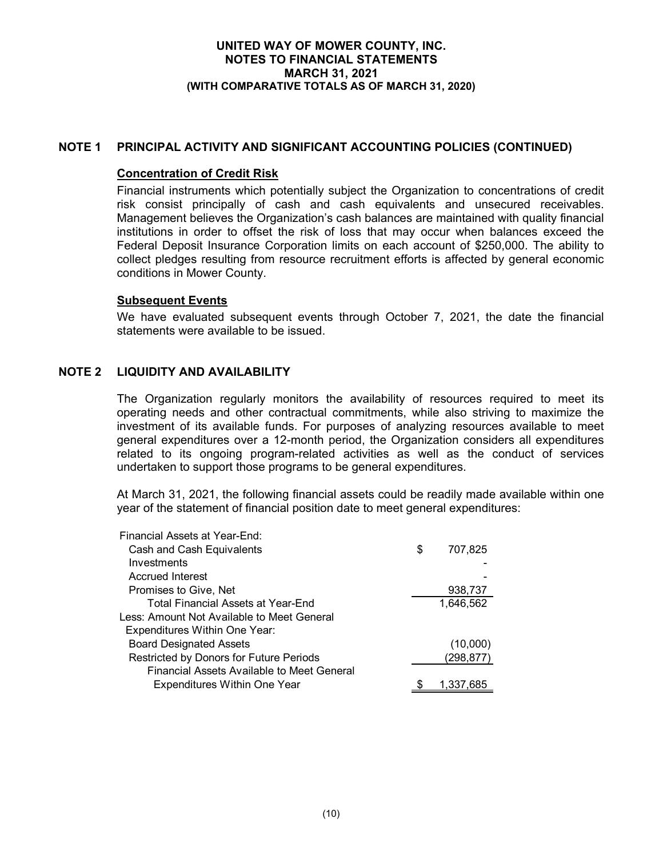## **NOTE 1 PRINCIPAL ACTIVITY AND SIGNIFICANT ACCOUNTING POLICIES (CONTINUED)**

### **Concentration of Credit Risk**

Financial instruments which potentially subject the Organization to concentrations of credit risk consist principally of cash and cash equivalents and unsecured receivables. Management believes the Organization's cash balances are maintained with quality financial institutions in order to offset the risk of loss that may occur when balances exceed the Federal Deposit Insurance Corporation limits on each account of \$250,000. The ability to collect pledges resulting from resource recruitment efforts is affected by general economic conditions in Mower County.

### **Subsequent Events**

We have evaluated subsequent events through October 7, 2021, the date the financial statements were available to be issued.

## **NOTE 2 LIQUIDITY AND AVAILABILITY**

The Organization regularly monitors the availability of resources required to meet its operating needs and other contractual commitments, while also striving to maximize the investment of its available funds. For purposes of analyzing resources available to meet general expenditures over a 12-month period, the Organization considers all expenditures related to its ongoing program-related activities as well as the conduct of services undertaken to support those programs to be general expenditures.

At March 31, 2021, the following financial assets could be readily made available within one year of the statement of financial position date to meet general expenditures:

| Financial Assets at Year-End:                     |               |
|---------------------------------------------------|---------------|
| Cash and Cash Equivalents                         | \$<br>707,825 |
| Investments                                       |               |
| <b>Accrued Interest</b>                           |               |
| Promises to Give, Net                             | 938,737       |
| <b>Total Financial Assets at Year-End</b>         | 1,646,562     |
| Less: Amount Not Available to Meet General        |               |
| Expenditures Within One Year:                     |               |
| <b>Board Designated Assets</b>                    | (10,000)      |
| <b>Restricted by Donors for Future Periods</b>    | (298,877)     |
| <b>Financial Assets Available to Meet General</b> |               |
| <b>Expenditures Within One Year</b>               | 1,337,685     |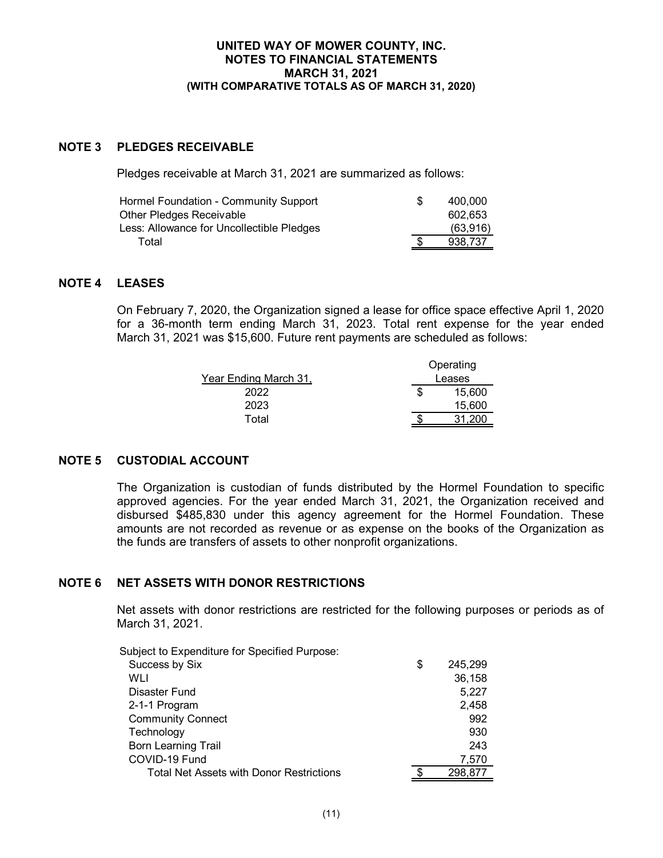### **NOTE 3 PLEDGES RECEIVABLE**

Pledges receivable at March 31, 2021 are summarized as follows:

| Hormel Foundation - Community Support     | 400.000   |
|-------------------------------------------|-----------|
| Other Pledges Receivable                  | 602.653   |
| Less: Allowance for Uncollectible Pledges | (63, 916) |
| Total                                     | 938.737   |

### **NOTE 4 LEASES**

On February 7, 2020, the Organization signed a lease for office space effective April 1, 2020 for a 36-month term ending March 31, 2023. Total rent expense for the year ended March 31, 2021 was \$15,600. Future rent payments are scheduled as follows:

|                       |   | Operating |
|-----------------------|---|-----------|
| Year Ending March 31, |   | Leases    |
| 2022                  | S | 15,600    |
| 2023                  |   | 15,600    |
| Total                 |   | .200      |

## **NOTE 5 CUSTODIAL ACCOUNT**

The Organization is custodian of funds distributed by the Hormel Foundation to specific approved agencies. For the year ended March 31, 2021, the Organization received and disbursed \$485,830 under this agency agreement for the Hormel Foundation. These amounts are not recorded as revenue or as expense on the books of the Organization as the funds are transfers of assets to other nonprofit organizations.

#### **NOTE 6 NET ASSETS WITH DONOR RESTRICTIONS**

Net assets with donor restrictions are restricted for the following purposes or periods as of March 31, 2021.

| Subject to Expenditure for Specified Purpose:   |               |
|-------------------------------------------------|---------------|
| Success by Six                                  | \$<br>245,299 |
| WLI                                             | 36,158        |
| Disaster Fund                                   | 5,227         |
| 2-1-1 Program                                   | 2,458         |
| <b>Community Connect</b>                        | 992           |
| Technology                                      | 930           |
| <b>Born Learning Trail</b>                      | 243           |
| COVID-19 Fund                                   | 7,570         |
| <b>Total Net Assets with Donor Restrictions</b> | 298,877       |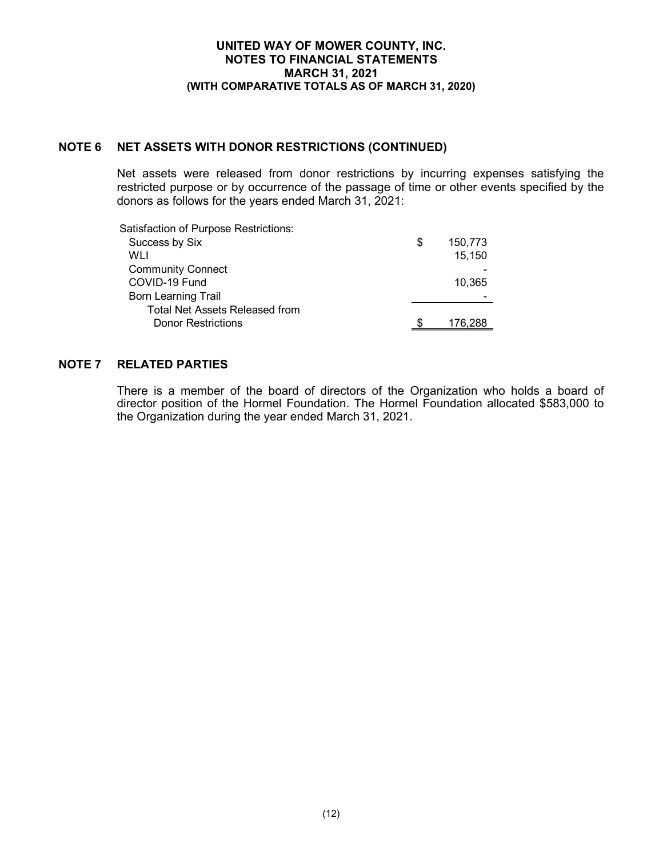## **NOTE 6 NET ASSETS WITH DONOR RESTRICTIONS (CONTINUED)**

Net assets were released from donor restrictions by incurring expenses satisfying the restricted purpose or by occurrence of the passage of time or other events specified by the donors as follows for the years ended March 31, 2021:

| Satisfaction of Purpose Restrictions: |   |         |
|---------------------------------------|---|---------|
| Success by Six                        | S | 150,773 |
| WLI                                   |   | 15,150  |
| <b>Community Connect</b>              |   |         |
| COVID-19 Fund                         |   | 10.365  |
| <b>Born Learning Trail</b>            |   |         |
| Total Net Assets Released from        |   |         |
| <b>Donor Restrictions</b>             |   | 176.288 |

## **NOTE 7 RELATED PARTIES**

There is a member of the board of directors of the Organization who holds a board of director position of the Hormel Foundation. The Hormel Foundation allocated \$583,000 to the Organization during the year ended March 31, 2021.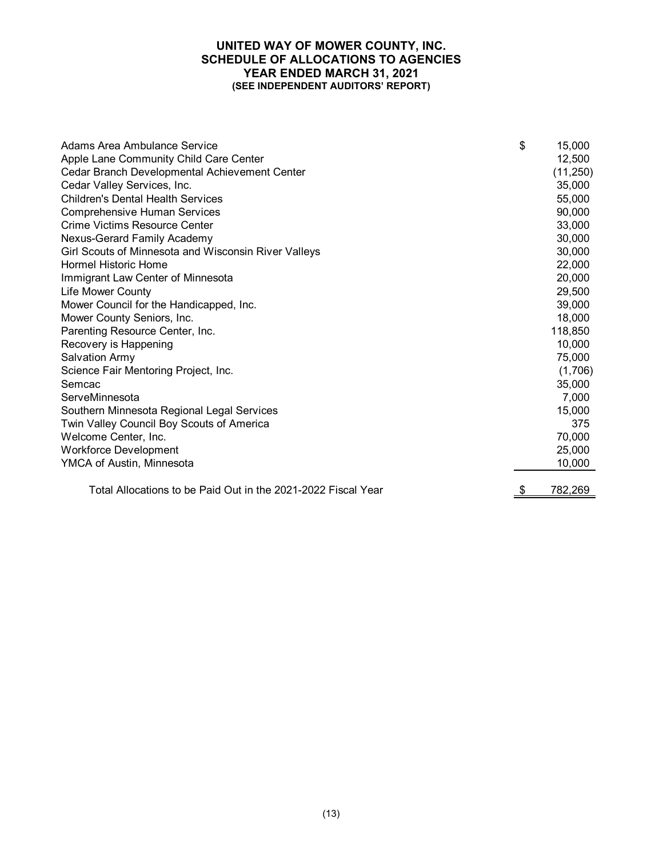#### **UNITED WAY OF MOWER COUNTY, INC. SCHEDULE OF ALLOCATIONS TO AGENCIES YEAR ENDED MARCH 31, 2021 (SEE INDEPENDENT AUDITORS' REPORT)**

| Adams Area Ambulance Service                                  | \$ | 15,000    |
|---------------------------------------------------------------|----|-----------|
| Apple Lane Community Child Care Center                        |    | 12,500    |
| Cedar Branch Developmental Achievement Center                 |    | (11, 250) |
| Cedar Valley Services, Inc.                                   |    | 35,000    |
| <b>Children's Dental Health Services</b>                      |    | 55,000    |
| <b>Comprehensive Human Services</b>                           |    | 90,000    |
| Crime Victims Resource Center                                 |    | 33,000    |
| Nexus-Gerard Family Academy                                   |    | 30,000    |
| Girl Scouts of Minnesota and Wisconsin River Valleys          |    | 30,000    |
| <b>Hormel Historic Home</b>                                   |    | 22,000    |
| Immigrant Law Center of Minnesota                             |    | 20,000    |
| <b>Life Mower County</b>                                      |    | 29,500    |
| Mower Council for the Handicapped, Inc.                       |    | 39,000    |
| Mower County Seniors, Inc.                                    |    | 18,000    |
| Parenting Resource Center, Inc.                               |    | 118,850   |
| Recovery is Happening                                         |    | 10,000    |
| <b>Salvation Army</b>                                         |    | 75,000    |
| Science Fair Mentoring Project, Inc.                          |    | (1,706)   |
| Semcac                                                        |    | 35,000    |
| ServeMinnesota                                                |    | 7,000     |
| Southern Minnesota Regional Legal Services                    |    | 15,000    |
| Twin Valley Council Boy Scouts of America                     |    | 375       |
| Welcome Center, Inc.                                          |    | 70,000    |
| <b>Workforce Development</b>                                  |    | 25,000    |
| YMCA of Austin, Minnesota                                     |    | 10,000    |
| Total Allocations to be Paid Out in the 2021-2022 Fiscal Year | 25 | 782,269   |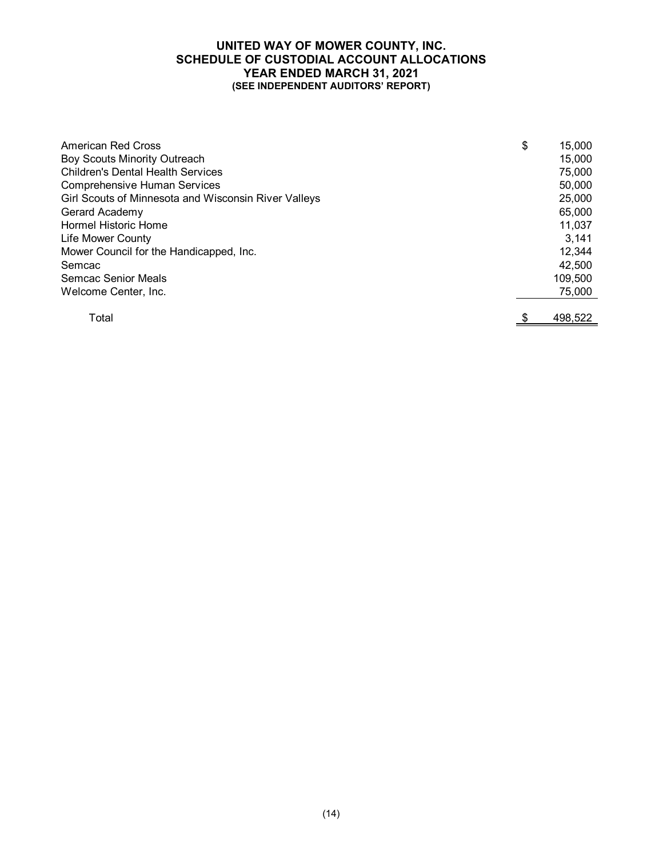#### **UNITED WAY OF MOWER COUNTY, INC. SCHEDULE OF CUSTODIAL ACCOUNT ALLOCATIONS YEAR ENDED MARCH 31, 2021 (SEE INDEPENDENT AUDITORS' REPORT)**

| American Red Cross                                   | \$<br>15,000 |
|------------------------------------------------------|--------------|
| Boy Scouts Minority Outreach                         | 15,000       |
| <b>Children's Dental Health Services</b>             | 75,000       |
| <b>Comprehensive Human Services</b>                  | 50,000       |
| Girl Scouts of Minnesota and Wisconsin River Valleys | 25,000       |
| Gerard Academy                                       | 65,000       |
| Hormel Historic Home                                 | 11,037       |
| Life Mower County                                    | 3,141        |
| Mower Council for the Handicapped, Inc.              | 12,344       |
| Semcac                                               | 42,500       |
| Semcac Senior Meals                                  | 109,500      |
| Welcome Center, Inc.                                 | 75,000       |
| Total                                                | 498,522      |